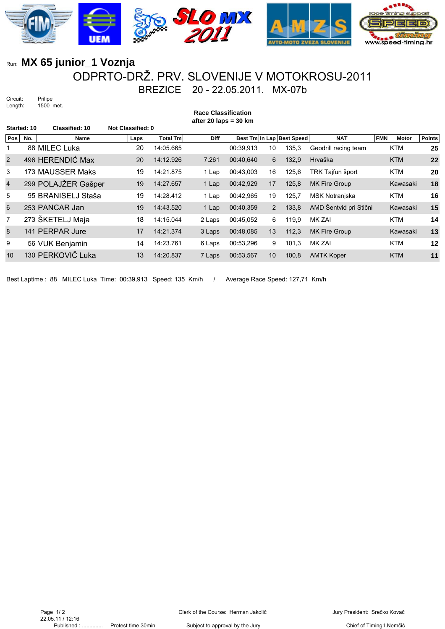

## Run: **MX 65 junior\_1 Voznja** ODPRTO-DRŽ. PRV. SLOVENIJE V MOTOKROSU-2011

Circuit: Prilipe<br>Length: 1500 1500 met. BREZICE 20 - 22.05.2011. MX-07b

|                | <b>Race Classification</b><br>after 20 laps = $30 \text{ km}$ |                       |                          |                 |        |           |                |                           |                        |                            |               |
|----------------|---------------------------------------------------------------|-----------------------|--------------------------|-----------------|--------|-----------|----------------|---------------------------|------------------------|----------------------------|---------------|
| Started: 10    |                                                               | <b>Classified: 10</b> | <b>Not Classified: 0</b> |                 |        |           |                |                           |                        |                            |               |
| Pos            | No.                                                           | Name                  | Laps                     | <b>Total Tm</b> | Diff   |           |                | Best Tm In Lap Best Speed | <b>NAT</b>             | <b>FMN</b><br><b>Motor</b> | <b>Points</b> |
| 1              |                                                               | 88 MILEC Luka         | 20                       | 14:05.665       |        | 00:39,913 | 10             | 135,3                     | Geodrill racing team   | <b>KTM</b>                 | 25            |
| $\overline{2}$ |                                                               | 496 HERENDIĆ Max      | 20                       | 14:12.926       | 7.261  | 00:40.640 | 6              | 132,9                     | Hrvaška                | <b>KTM</b>                 | 22            |
| 3              |                                                               | 173 MAUSSER Maks      | 19                       | 14:21.875       | 1 Lap  | 00:43,003 | 16             | 125,6                     | TRK Tajfun šport       | <b>KTM</b>                 | 20            |
| $\overline{4}$ |                                                               | 299 POLAJŽER Gašper   | 19                       | 14:27.657       | 1 Lap  | 00:42.929 | 17             | 125,8                     | <b>MK Fire Group</b>   | Kawasaki                   | 18            |
| 5              |                                                               | 95 BRANISELJ Staša    | 19                       | 14:28.412       | 1 Lap  | 00:42,965 | 19             | 125,7                     | MSK Notranjska         | <b>KTM</b>                 | 16            |
| 6              |                                                               | 253 PANCAR Jan        | 19                       | 14:43.520       | 1 Lap  | 00:40.359 | $\overline{2}$ | 133,8                     | AMD Šentvid pri Stični | Kawasaki                   | 15            |
| $\overline{7}$ |                                                               | 273 ŠKETELJ Maja      | 18                       | 14:15.044       | 2 Laps | 00:45.052 | 6              | 119.9                     | MK ZAI                 | <b>KTM</b>                 | 14            |
| 8              |                                                               | 141 PERPAR Jure       | 17                       | 14:21.374       | 3 Laps | 00:48.085 | 13             | 112,3                     | MK Fire Group          | Kawasaki                   | 13            |
| 9              |                                                               | 56 VUK Benjamin       | 14                       | 14:23.761       | 6 Laps | 00:53,296 | 9              | 101,3                     | MK ZAI                 | <b>KTM</b>                 | 12            |
| 10             |                                                               | 130 PERKOVIČ Luka     | 13                       | 14:20.837       | 7 Laps | 00:53,567 | 10             | 100,8                     | <b>AMTK Koper</b>      | <b>KTM</b>                 | 11            |
|                |                                                               |                       |                          |                 |        |           |                |                           |                        |                            |               |

Best Laptime : 88 MILEC Luka Time: 00:39,913 Speed: 135 Km/h / Average Race Speed: 127,71 Km/h

Chief of Timing:I.Nemčić